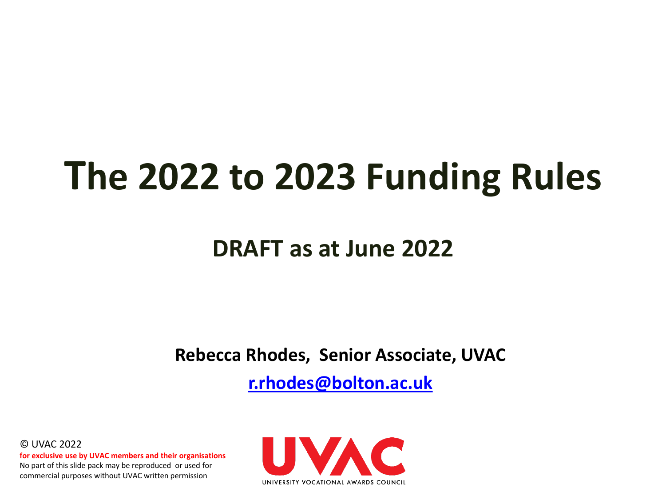# **The 2022 to 2023 Funding Rules**

#### **DRAFT as at June 2022**

**Rebecca Rhodes, Senior Associate, UVAC**

**[r.rhodes@bolton.ac.uk](mailto:r.rhodes@bolton.ac.uk)**

© UVAC 2022 **for exclusive use by UVAC members and their organisations**  No part of this slide pack may be reproduced or used for commercial purposes without UVAC written permission

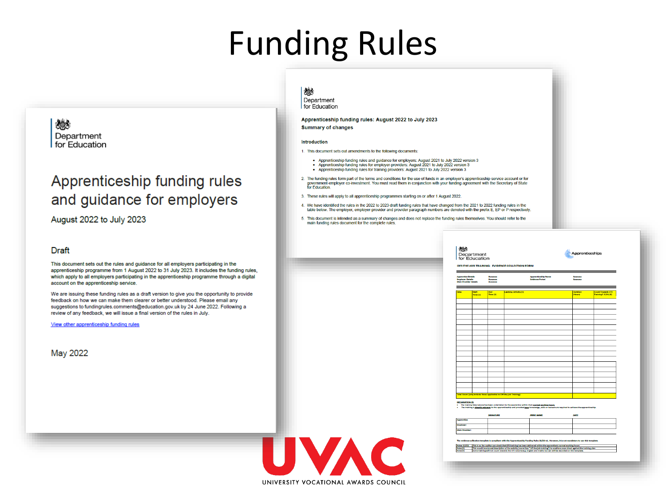# Fu[nding Rules](https://assets.publishing.service.gov.uk/government/uploads/system/uploads/attachment_data/file/1079296/2223_Summary_of_Changes_Draft_Final.pdf)

燃 Department for Education

#### Apprenticeship funding rules and guidance for employers

August 2022 to July 2023

#### **Draft**

This document sets out the rules and guidance for all employers participating in the apprenticeship programme from 1 August 2022 to 31 July 2023. It includes the funding rules, which apply to all employers participating in the apprenticeship programme through a digital account on the apprenticeship service.

We are issuing these funding rules as a draft version to give you the opportunity to provide feedback on how we can make them clearer or better understood. Please email any suggestions to fundingrules.comments@education.gov.uk by 24 June 2022. Following a review of any feedback, we will issue a final version of the rules in July

View other apprenticeship funding rules

May 2022

#### 戀 Department

for Education

Apprenticeship funding rules: August 2022 to July 2023 **Summary of changes** 

#### Introduction

- 1. This document sets out amendments to the following documents:
	- Apprenticeship funding rules and guidance for employers: August 2021 to July 2022 version 3
	- . Apprenticeship funding rules for employer-providers: August 2021 to July 2022 version 3 • Apprenticeship funding rules for training providers: August 2021 to July 2022 version 3
- 2. The funding rules form part of the terms and conditions for the use of funds in an employer's apprenticeship service account or for The contract of the contract of the contract of the contract of the contract of the contract of the property of spheriment-employer co-investment. You must read them in conjunction with your funding agreement with the Secr
- 3. These rules will apply to all apprenticeship programmes starting on or after 1 August 2022.
- 4. We have identified the rules in the 2022 to 2023 draft funding rules that have changed from the 2021 to 2022 funding rules in the table below. The employer, employer-provider and provider paragraph numbers are denoted with the prefix E, EP or P respectively.

803

Department

**RAINING: EVIDENCE COLLECTION FORM** 

5. This document is intended as a summary of changes and does not replace the funding rules themselves. You should refer to the main funding rules document for the complete rules



| .<br>ployer Details<br>in Provider Details |                             | ----<br><b>Recourse</b><br><b>Recourse</b> | <b>Evidence Period</b>                                            | <b>Reported</b>            |                                                               |
|--------------------------------------------|-----------------------------|--------------------------------------------|-------------------------------------------------------------------|----------------------------|---------------------------------------------------------------|
| ä,                                         | <b>Start</b><br>Three $(1)$ | bad<br>Time (2)                            | <b>Learning Activity (3)</b>                                      | <b>Duration</b><br>(Hours) | Count Towards OTJ<br>Count Towards OTJ<br>Training? (Y/N) (4) |
|                                            |                             |                                            |                                                                   |                            |                                                               |
|                                            |                             |                                            |                                                                   |                            |                                                               |
|                                            |                             |                                            |                                                                   |                            |                                                               |
|                                            |                             |                                            |                                                                   |                            |                                                               |
|                                            |                             |                                            |                                                                   |                            |                                                               |
|                                            |                             |                                            |                                                                   |                            |                                                               |
|                                            |                             |                                            |                                                                   |                            |                                                               |
|                                            |                             |                                            |                                                                   |                            |                                                               |
|                                            |                             |                                            |                                                                   |                            |                                                               |
|                                            |                             |                                            |                                                                   |                            |                                                               |
|                                            |                             |                                            |                                                                   |                            |                                                               |
|                                            |                             |                                            |                                                                   |                            |                                                               |
|                                            |                             |                                            |                                                                   |                            |                                                               |
|                                            |                             |                                            |                                                                   |                            |                                                               |
|                                            |                             |                                            |                                                                   |                            |                                                               |
|                                            |                             |                                            |                                                                   |                            |                                                               |
|                                            |                             |                                            |                                                                   |                            |                                                               |
|                                            |                             |                                            | tal Hours (only include those applicable to Off-the job Training) |                            |                                                               |
| <b>CLARATIONS OF</b>                       |                             |                                            |                                                                   |                            |                                                               |

Apprenticeships

#### love has been undertaken by the apprentice within their normal working hours.

|                    | SHONATURE | <b>PRINT NAME</b> | DATE |
|--------------------|-----------|-------------------|------|
| <b>Approaches:</b> |           |                   |      |
|                    |           |                   |      |
| Main Providers     |           |                   |      |

p Funding Rules 22/23 v1. However, it is not men with the Appr is to the auditor can check that OTJ training has been delivered within the appr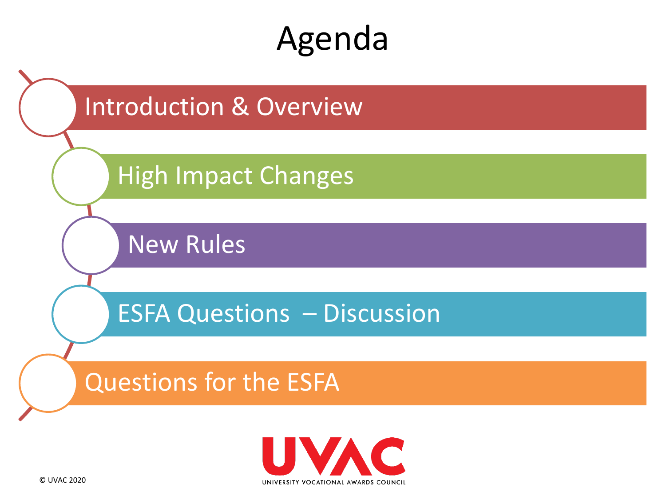## Agenda



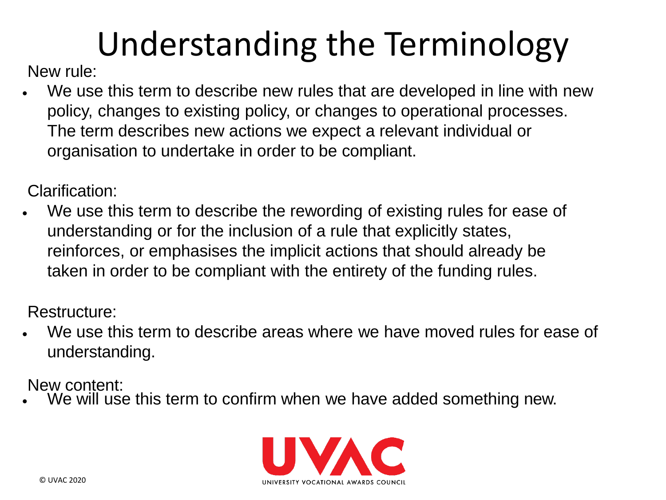# Understanding the Terminology

New rule:

We use this term to describe new rules that are developed in line with new policy, changes to existing policy, or changes to operational processes. The term describes new actions we expect a relevant individual or organisation to undertake in order to be compliant.

Clarification:

We use this term to describe the rewording of existing rules for ease of understanding or for the inclusion of a rule that explicitly states, reinforces, or emphasises the implicit actions that should already be taken in order to be compliant with the entirety of the funding rules.

Restructure:

We use this term to describe areas where we have moved rules for ease of understanding.

New content:

We will use this term to confirm when we have added something new.

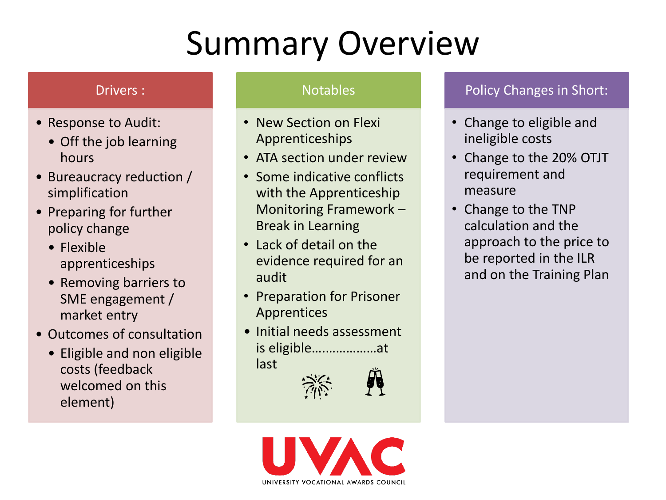# Summary Overview

#### Drivers :

- Response to Audit:
	- Off the job learning hours
- Bureaucracy reduction / simplification
- Preparing for further policy change
	- Flexible apprenticeships
	- Removing barriers to SME engagement / market entry
- Outcomes of consultation
	- Eligible and non eligible costs (feedback welcomed on this element)

#### Notables

- New Section on Flexi Apprenticeships
- ATA section under review
- Some indicative conflicts with the Apprenticeship Monitoring Framework – Break in Learning
- Lack of detail on the evidence required for an audit
- Preparation for Prisoner Apprentices
- Initial needs assessment is eligible….……………at last







#### Policy Changes in Short:

- Change to eligible and ineligible costs
- Change to the 20% OTJT requirement and measure
- Change to the TNP calculation and the approach to the price to be reported in the ILR and on the Training Plan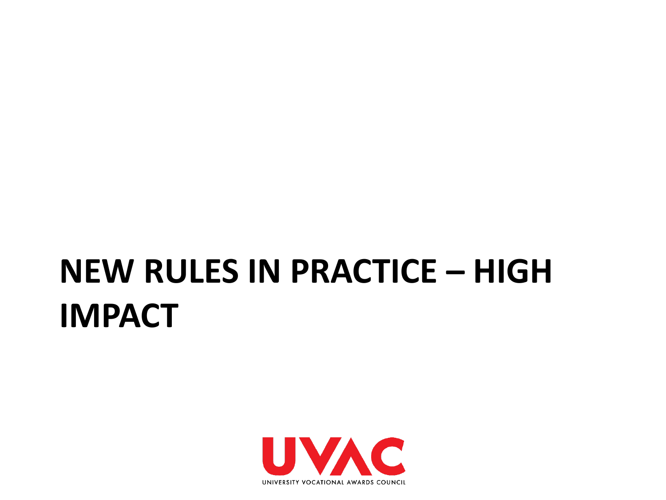# **NEW RULES IN PRACTICE – HIGH IMPACT**

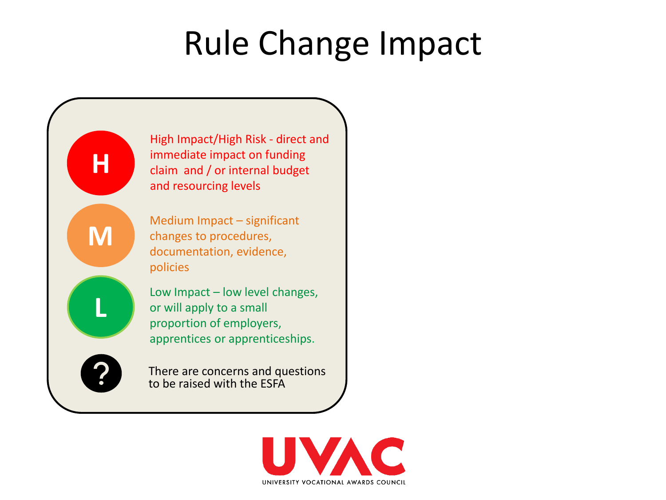# Rule Change Impact



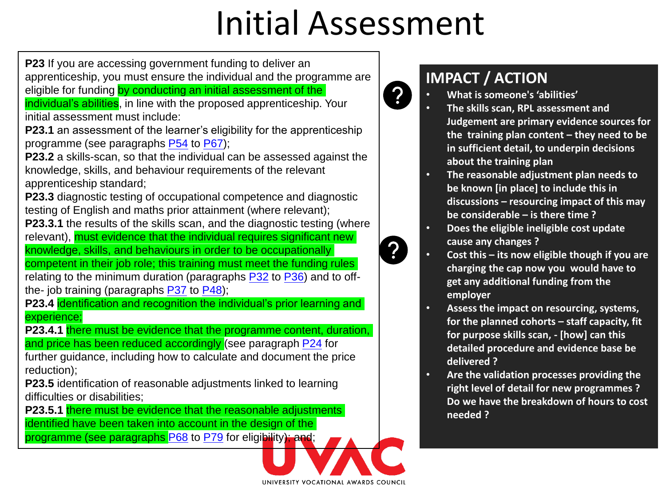# Initial Assessment

UNIVERSITY VOCATIONAL AWARDS COUNCIL

**P23** If you are accessing government funding to deliver an apprenticeship, you must ensure the individual and the programme are eligible for funding by conducting an initial assessment of the

individual's abilities, in line with the proposed apprenticeship. Your

initial assessment must include:

**P23.1** an assessment of the learner's eligibility for the apprenticeship programme (see paragraphs P54 to P67);

**P23.2** a skills-scan, so that the individual can be assessed against the knowledge, skills, and behaviour requirements of the relevant apprenticeship standard;

**P23.3** diagnostic testing of occupational competence and diagnostic testing of English and maths prior attainment (where relevant);

**P23.3.1** the results of the skills scan, and the diagnostic testing (where relevant), must evidence that the individual requires significant new knowledge, skills, and behaviours in order to be occupationally competent in their job role; this training must meet the funding rules relating to the minimum duration (paragraphs P32 to P36) and to offthe- job training (paragraphs  $P37$  to  $P48$ );

**P23.4 identification and recognition the individual's prior learning and** experience;

**P23.4.1** there must be evidence that the programme content, duration, and price has been reduced accordingly (see paragraph P24 for

further guidance, including how to calculate and document the price reduction);

**P23.5** identification of reasonable adjustments linked to learning difficulties or disabilities;

**P23.5.1** there must be evidence that the reasonable adjustments identified have been taken into account in the design of the programme (see paragraphs P68 to P79 for eligibility); and;



- **What is someone's 'abilities'**
- **The skills scan, RPL assessment and Judgement are primary evidence sources for the training plan content – they need to be in sufficient detail, to underpin decisions about the training plan**
- **The reasonable adjustment plan needs to be known [in place] to include this in discussions – resourcing impact of this may be considerable – is there time ?**
- **Does the eligible ineligible cost update cause any changes ?**
- **Cost this – its now eligible though if you are charging the cap now you would have to get any additional funding from the employer**
- **Assess the impact on resourcing, systems, for the planned cohorts – staff capacity, fit for purpose skills scan, - [how] can this detailed procedure and evidence base be delivered ?**
- **Are the validation processes providing the right level of detail for new programmes ? Do we have the breakdown of hours to cost needed ?**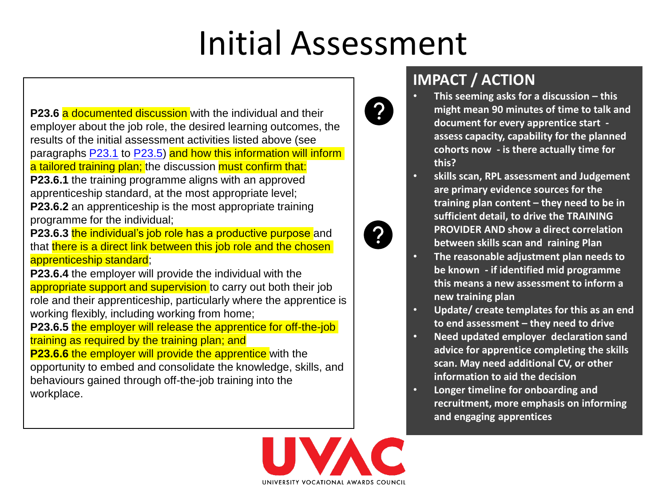# Initial Assessment

**P23.6 a documented discussion with the individual and their** employer about the job role, the desired learning outcomes, the results of the initial assessment activities listed above (see paragraphs P23.1 to P23.5) and how this information will inform a tailored training plan; the discussion must confirm that: **P23.6.1** the training programme aligns with an approved apprenticeship standard, at the most appropriate level;

**P23.6.2** an apprenticeship is the most appropriate training programme for the individual;

**P23.6.3** the individual's job role has a productive purpose and that there is a direct link between this job role and the chosen apprenticeship standard;

**P23.6.4** the employer will provide the individual with the appropriate support and supervision to carry out both their job role and their apprenticeship, particularly where the apprentice is working flexibly, including working from home;

**P23.6.5** the employer will release the apprentice for off-the-job training as required by the training plan; and

**P23.6.6** the employer will provide the apprentice with the opportunity to embed and consolidate the knowledge, skills, and behaviours gained through off-the-job training into the workplace.

### ?

?



- **This seeming asks for a discussion – this might mean 90 minutes of time to talk and document for every apprentice start assess capacity, capability for the planned cohorts now - is there actually time for this?**
- **skills scan, RPL assessment and Judgement are primary evidence sources for the training plan content – they need to be in sufficient detail, to drive the TRAINING PROVIDER AND show a direct correlation between skills scan and raining Plan**
- **The reasonable adjustment plan needs to be known - if identified mid programme this means a new assessment to inform a new training plan**
- **Update/ create templates for this as an end to end assessment – they need to drive**
- **Need updated employer declaration sand advice for apprentice completing the skills scan. May need additional CV, or other information to aid the decision**
- **Longer timeline for onboarding and recruitment, more emphasis on informing and engaging apprentices**

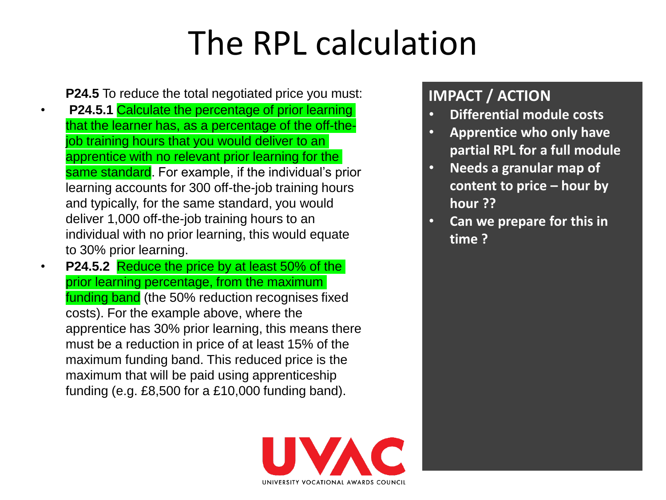# The RPL calculation

**P24.5** To reduce the total negotiated price you must:

- **P24.5.1** Calculate the percentage of prior learning that the learner has, as a percentage of the off-thejob training hours that you would deliver to an apprentice with no relevant prior learning for the same standard. For example, if the individual's prior learning accounts for 300 off-the-job training hours and typically, for the same standard, you would deliver 1,000 off-the-job training hours to an individual with no prior learning, this would equate to 30% prior learning.
- **P24.5.2** Reduce the price by at least 50% of the prior learning percentage, from the maximum funding band (the 50% reduction recognises fixed costs). For the example above, where the apprentice has 30% prior learning, this means there must be a reduction in price of at least 15% of the maximum funding band. This reduced price is the maximum that will be paid using apprenticeship funding (e.g. £8,500 for a £10,000 funding band).

- **Differential module costs**
- **Apprentice who only have partial RPL for a full module**
- **Needs a granular map of content to price – hour by hour ??**
- **Can we prepare for this in time ?**

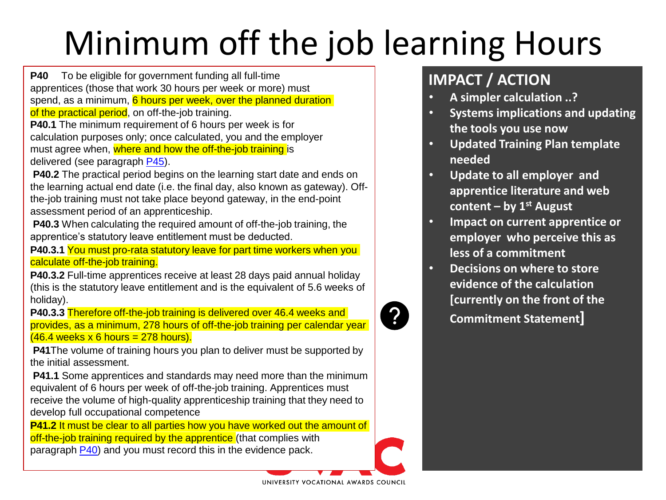# Minimum off the job learning Hours

**P40** To be eligible for government funding all full-time apprentices (those that work 30 hours per week or more) must spend, as a minimum, 6 hours per week, over the planned duration of the practical period, on off-the-job training.

**P40.1** The minimum requirement of 6 hours per week is for calculation purposes only; once calculated, you and the employer must agree when, where and how the off-the-job training is delivered (see paragraph P45).

**P40.2** The practical period begins on the learning start date and ends on the learning actual end date (i.e. the final day, also known as gateway). Offthe-job training must not take place beyond gateway, in the end-point assessment period of an apprenticeship.

**P40.3** When calculating the required amount of off-the-job training, the apprentice's statutory leave entitlement must be deducted.

**P40.3.1** You must pro-rata statutory leave for part time workers when you calculate off-the-job training.

**P40.3.2** Full-time apprentices receive at least 28 days paid annual holiday (this is the statutory leave entitlement and is the equivalent of 5.6 weeks of holiday).

**P40.3.3** Therefore off-the-job training is delivered over 46.4 weeks and provides, as a minimum, 278 hours of off-the-job training per calendar year  $(46.4$  weeks x 6 hours = 278 hours).

**P41**The volume of training hours you plan to deliver must be supported by the initial assessment.

**P41.1** Some apprentices and standards may need more than the minimum equivalent of 6 hours per week of off-the-job training. Apprentices must receive the volume of high-quality apprenticeship training that they need to develop full occupational competence

**P41.2** It must be clear to all parties how you have worked out the amount of off-the-job training required by the apprentice (that complies with paragraph P40) and you must record this in the evidence pack.

#### **IMPACT / ACTION**

- **A simpler calculation ..?**
- **Systems implications and updating the tools you use now**
- **Updated Training Plan template needed**
- **Update to all employer and apprentice literature and web content – by 1st August**
- **Impact on current apprentice or employer who perceive this as less of a commitment**
- **Decisions on where to store evidence of the calculation [currently on the front of the Commitment Statement]**

UNIVERSITY VOCATIONAL AWARDS COUNCIL

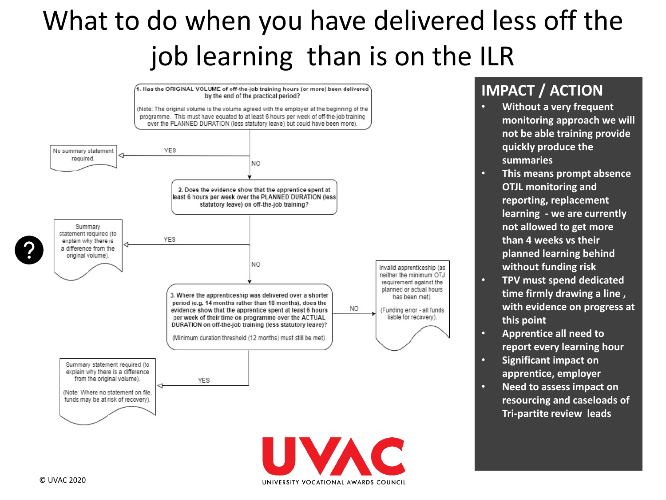### What to do when you have delivered less off the job learning than is on the ILR

UNIVERSITY VOCATIONAL AWARDS COUNCIL



- **Without a very frequent monitoring approach we will not be able training provide quickly produce the summaries**
- **This means prompt absence OTJL monitoring and reporting, replacement learning - we are currently not allowed to get more than 4 weeks vs their planned learning behind without funding risk**
- **TPV must spend dedicated time firmly drawing a line , with evidence on progress at this point**
- **Apprentice all need to report every learning hour**
- **Significant impact on apprentice, employer**
- **Need to assess impact on resourcing and caseloads of Tri-partite review leads**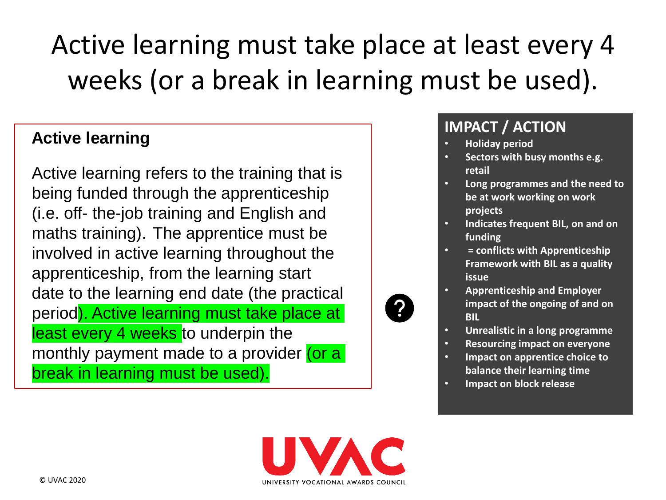### Active learning must take place at least every 4 weeks (or a break in learning must be used).

#### **Active learning**

Active learning refers to the training that is being funded through the apprenticeship (i.e. off- the-job training and English and maths training). The apprentice must be involved in active learning throughout the apprenticeship, from the learning start date to the learning end date (the practical period). Active learning must take place at least every 4 weeks to underpin the monthly payment made to a provider (or a break in learning must be used).

- **Holiday period**
- **Sectors with busy months e.g. retail**
- **Long programmes and the need to be at work working on work projects**
- **Indicates frequent BIL, on and on funding**
- **= conflicts with Apprenticeship Framework with BIL as a quality issue**
- **Apprenticeship and Employer impact of the ongoing of and on BIL**
- **Unrealistic in a long programme**
- **Resourcing impact on everyone**
- **Impact on apprentice choice to balance their learning time**
- **Impact on block release**

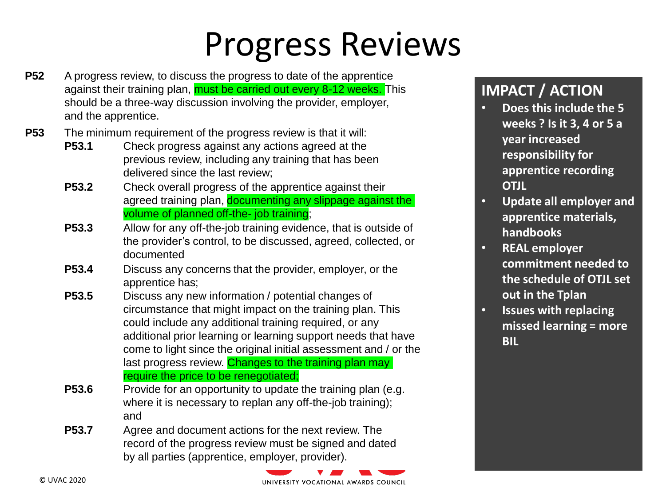# Progress Reviews

- **P52** A progress review, to discuss the progress to date of the apprentice against their training plan, must be carried out every 8-12 weeks. This should be a three-way discussion involving the provider, employer, and the apprentice.
- **P53** The minimum requirement of the progress review is that it will:
	- **P53.1** Check progress against any actions agreed at the previous review, including any training that has been delivered since the last review;
	- **P53.2** Check overall progress of the apprentice against their agreed training plan, documenting any slippage against the volume of planned off-the- job training;
	- **P53.3** Allow for any off-the-job training evidence, that is outside of the provider's control, to be discussed, agreed, collected, or documented
	- **P53.4** Discuss any concerns that the provider, employer, or the apprentice has;
	- **P53.5** Discuss any new information / potential changes of circumstance that might impact on the training plan. This could include any additional training required, or any additional prior learning or learning support needs that have come to light since the original initial assessment and / or the last progress review. Changes to the training plan may require the price to be renegotiated;
	- **P53.6** Provide for an opportunity to update the training plan (e.g. where it is necessary to replan any off-the-job training); and
	- **P53.7** Agree and document actions for the next review. The record of the progress review must be signed and dated by all parties (apprentice, employer, provider).

- **Does this include the 5 weeks ? Is it 3, 4 or 5 a year increased responsibility for apprentice recording OTJL**
- **Update all employer and apprentice materials, handbooks**
- **REAL employer commitment needed to the schedule of OTJL set out in the Tplan**
- **Issues with replacing missed learning = more BIL**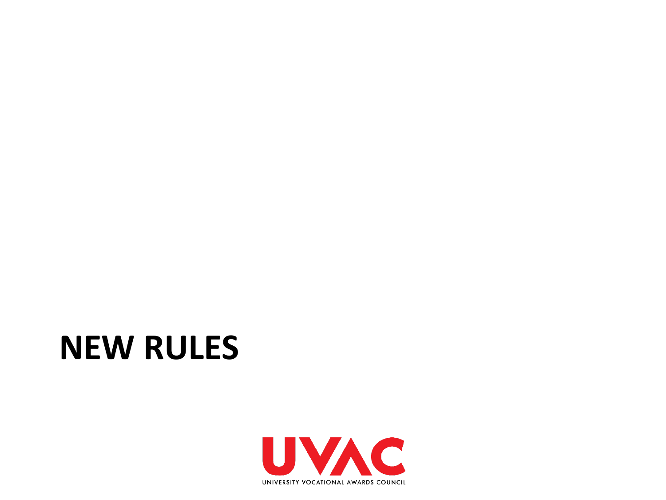## **NEW RULES**

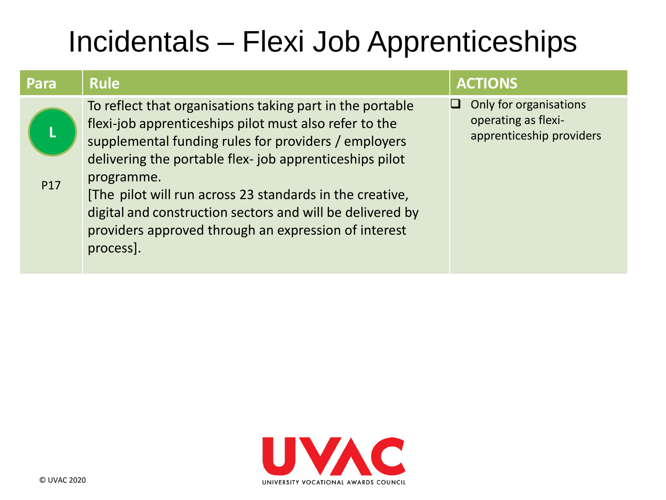### Incidentals – Flexi Job Apprenticeships

| Para       | <b>Rule</b>                                                                                                                                                                                                                                                                                                                                                                                                                                       | <b>ACTIONS</b>                                                            |
|------------|---------------------------------------------------------------------------------------------------------------------------------------------------------------------------------------------------------------------------------------------------------------------------------------------------------------------------------------------------------------------------------------------------------------------------------------------------|---------------------------------------------------------------------------|
| <b>P17</b> | To reflect that organisations taking part in the portable<br>flexi-job apprenticeships pilot must also refer to the<br>supplemental funding rules for providers / employers<br>delivering the portable flex-job apprenticeships pilot<br>programme.<br>[The pilot will run across 23 standards in the creative,<br>digital and construction sectors and will be delivered by<br>providers approved through an expression of interest<br>process]. | Only for organisations<br>operating as flexi-<br>apprenticeship providers |

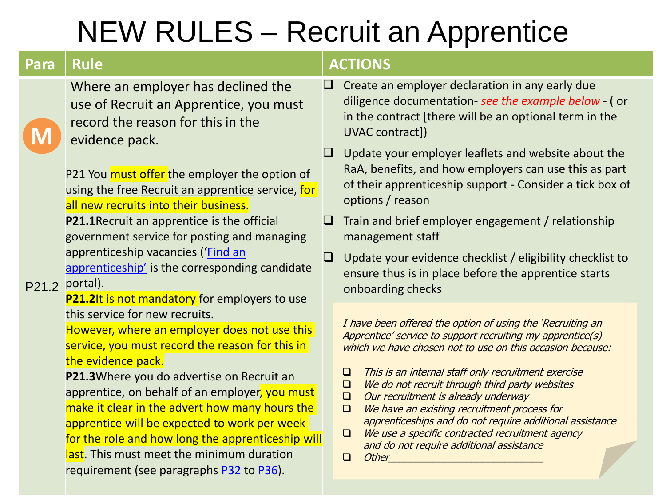## NEW RULES – Recruit an Apprentice

| Para  | <b>Rule</b>                                                                                                                                                                                                                                                                                                                                 |   | <b>ACTIONS</b>                                                                                                                                                                                                                                                                                                                                               |
|-------|---------------------------------------------------------------------------------------------------------------------------------------------------------------------------------------------------------------------------------------------------------------------------------------------------------------------------------------------|---|--------------------------------------------------------------------------------------------------------------------------------------------------------------------------------------------------------------------------------------------------------------------------------------------------------------------------------------------------------------|
|       | Where an employer has declined the<br>use of Recruit an Apprentice, you must<br>record the reason for this in the<br>evidence pack.                                                                                                                                                                                                         | u | Create an employer declaration in any early due<br>diligence documentation- see the example below - (or<br>in the contract [there will be an optional term in the<br>UVAC contract])                                                                                                                                                                         |
|       | P21 You must offer the employer the option of<br>using the free Recruit an apprentice service, for<br>all new recruits into their business.                                                                                                                                                                                                 |   | Update your employer leaflets and website about the<br>RaA, benefits, and how employers can use this as part<br>of their apprenticeship support - Consider a tick box of<br>options / reason                                                                                                                                                                 |
|       | <b>P21.1</b> Recruit an apprentice is the official<br>government service for posting and managing                                                                                                                                                                                                                                           | u | Train and brief employer engagement / relationship<br>management staff                                                                                                                                                                                                                                                                                       |
| P21.2 | apprenticeship vacancies ('Find an<br>apprenticeship' is the corresponding candidate<br>portal).<br><b>P21.2It is not mandatory for employers to use</b>                                                                                                                                                                                    |   | Update your evidence checklist / eligibility checklist to<br>ensure thus is in place before the apprentice starts<br>onboarding checks                                                                                                                                                                                                                       |
|       | this service for new recruits.<br>However, where an employer does not use this<br>service, you must record the reason for this in<br>the evidence pack.                                                                                                                                                                                     |   | I have been offered the option of using the 'Recruiting an<br>Apprentice' service to support recruiting my apprentice(s)<br>which we have chosen not to use on this occasion because:<br>This is an internal staff only recruitment exercise<br>$\Box$                                                                                                       |
|       | P21.3Where you do advertise on Recruit an<br>apprentice, on behalf of an employer, you must<br>make it clear in the advert how many hours the<br>apprentice will be expected to work per week<br>for the role and how long the apprenticeship will<br>last. This must meet the minimum duration<br>requirement (see paragraphs P32 to P36). |   | We do not recruit through third party websites<br>$\Box$<br>$\Box$<br>Our recruitment is already underway<br>We have an existing recruitment process for<br>$\Box$<br>apprenticeships and do not require additional assistance<br>We use a specific contracted recruitment agency<br>$\Box$<br>and do not require additional assistance<br><b>Other</b><br>⊓ |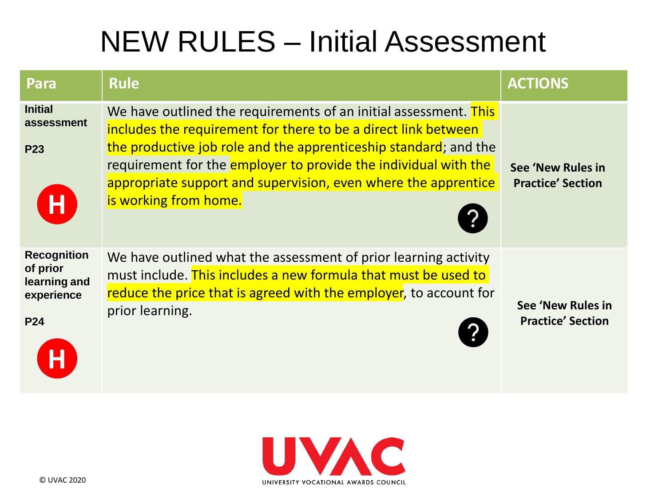### NEW RULES – Initial Assessment

| Para                                                                       | <b>Rule</b>                                                                                                                                                                                                                                                                                                                                                          | <b>ACTIONS</b>                                |
|----------------------------------------------------------------------------|----------------------------------------------------------------------------------------------------------------------------------------------------------------------------------------------------------------------------------------------------------------------------------------------------------------------------------------------------------------------|-----------------------------------------------|
| <b>Initial</b><br>assessment<br><b>P23</b><br>H                            | We have outlined the requirements of an initial assessment. This<br>includes the requirement for there to be a direct link between<br>the productive job role and the apprenticeship standard; and the<br>requirement for the employer to provide the individual with the<br>appropriate support and supervision, even where the apprentice<br>is working from home. | See 'New Rules in<br><b>Practice' Section</b> |
| <b>Recognition</b><br>of prior<br>learning and<br>experience<br><b>P24</b> | We have outlined what the assessment of prior learning activity<br>must include. This includes a new formula that must be used to<br>reduce the price that is agreed with the employer, to account for<br>prior learning.                                                                                                                                            | See 'New Rules in<br><b>Practice' Section</b> |

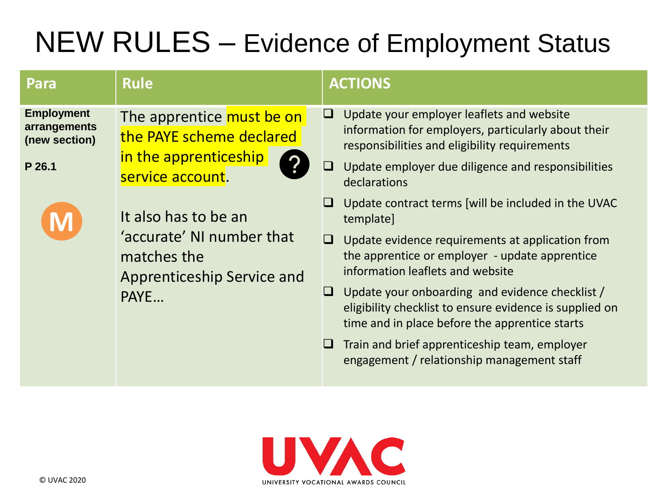### NEW RULES – Evidence of Employment Status

| Para                                                         | <b>Rule</b>                                                                                            | <b>ACTIONS</b>                                                                                                                                                                                                                                                                                                                                                                                                                                                                                  |
|--------------------------------------------------------------|--------------------------------------------------------------------------------------------------------|-------------------------------------------------------------------------------------------------------------------------------------------------------------------------------------------------------------------------------------------------------------------------------------------------------------------------------------------------------------------------------------------------------------------------------------------------------------------------------------------------|
| <b>Employment</b><br>arrangements<br>(new section)<br>P 26.1 | The apprentice must be on<br>the PAYE scheme declared<br>in the apprenticeship<br>service account.     | Update your employer leaflets and website<br>$\Box$<br>information for employers, particularly about their<br>responsibilities and eligibility requirements<br>$\Box$<br>Update employer due diligence and responsibilities<br>declarations                                                                                                                                                                                                                                                     |
|                                                              | It also has to be an<br>'accurate' NI number that<br>matches the<br>Apprenticeship Service and<br>PAYE | Update contract terms [will be included in the UVAC<br>template]<br>$\Box$ Update evidence requirements at application from<br>the apprentice or employer - update apprentice<br>information leaflets and website<br>Update your onboarding and evidence checklist /<br>0<br>eligibility checklist to ensure evidence is supplied on<br>time and in place before the apprentice starts<br>$\Box$<br>Train and brief apprenticeship team, employer<br>engagement / relationship management staff |

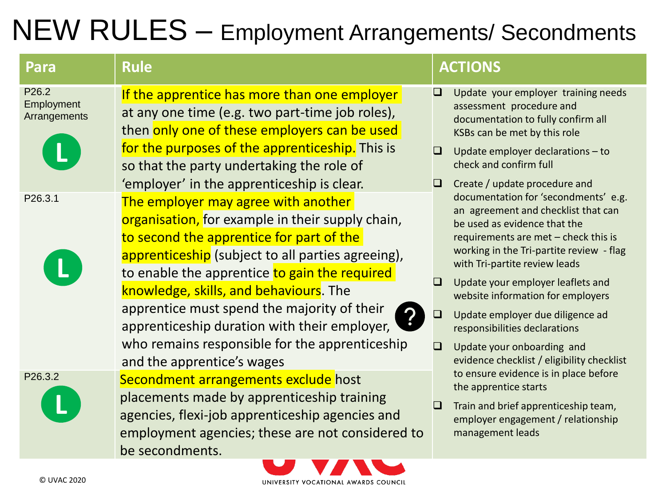### NEW RULES – Employment Arrangements/ Secondments

| Para                                                                   | <b>Rule</b>                                                                                                                                                                                                                                                                                                                                                                                                                 | <b>ACTIONS</b>                                                                                                                                                                                                                                                                                                                                                                                   |
|------------------------------------------------------------------------|-----------------------------------------------------------------------------------------------------------------------------------------------------------------------------------------------------------------------------------------------------------------------------------------------------------------------------------------------------------------------------------------------------------------------------|--------------------------------------------------------------------------------------------------------------------------------------------------------------------------------------------------------------------------------------------------------------------------------------------------------------------------------------------------------------------------------------------------|
| P <sub>26.2</sub><br>Employment<br>Arrangements<br>P <sub>26.3.1</sub> | If the apprentice has more than one employer<br>at any one time (e.g. two part-time job roles),<br>then only one of these employers can be used<br>for the purposes of the apprenticeship. This is<br>so that the party undertaking the role of<br>'employer' in the apprenticeship is clear.<br>The employer may agree with another                                                                                        | Update your employer training needs<br>□<br>assessment procedure and<br>documentation to fully confirm all<br>KSBs can be met by this role<br>Update employer declarations - to<br>check and confirm full<br>Create / update procedure and<br>documentation for 'secondments' e.g.<br>an agreement and checklist that can                                                                        |
|                                                                        | organisation, for example in their supply chain,<br>to second the apprentice for part of the<br>apprenticeship (subject to all parties agreeing),<br>to enable the apprentice to gain the required<br>knowledge, skills, and behaviours. The<br>apprentice must spend the majority of their<br>apprenticeship duration with their employer,<br>who remains responsible for the apprenticeship<br>and the apprentice's wages | be used as evidence that the<br>requirements are met - check this is<br>working in the Tri-partite review - flag<br>with Tri-partite review leads<br>Update your employer leaflets and<br>website information for employers<br>Update employer due diligence ad<br>$\Box$<br>responsibilities declarations<br>$\Box$<br>Update your onboarding and<br>evidence checklist / eligibility checklist |
| P26.3.2                                                                | Secondment arrangements exclude host<br>placements made by apprenticeship training<br>agencies, flexi-job apprenticeship agencies and<br>employment agencies; these are not considered to<br>be secondments.                                                                                                                                                                                                                | to ensure evidence is in place before<br>the apprentice starts<br>Train and brief apprenticeship team,<br>employer engagement / relationship<br>management leads                                                                                                                                                                                                                                 |

UNIVERSITY VOCATIONAL AWARDS COUNCIL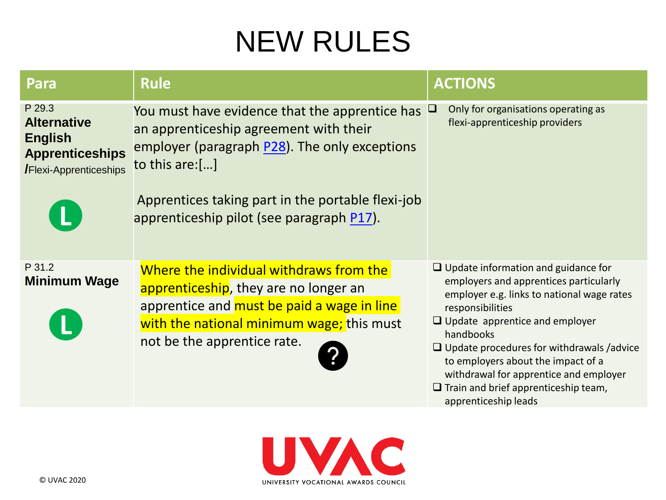## NEW RULES

| Para                                                                                                      | <b>Rule</b>                                                                                                                                                                                                                                                   | <b>ACTIONS</b>                                                                                                                                                                                                                                                                                                                                                                                                          |
|-----------------------------------------------------------------------------------------------------------|---------------------------------------------------------------------------------------------------------------------------------------------------------------------------------------------------------------------------------------------------------------|-------------------------------------------------------------------------------------------------------------------------------------------------------------------------------------------------------------------------------------------------------------------------------------------------------------------------------------------------------------------------------------------------------------------------|
| P 29.3<br><b>Alternative</b><br><b>English</b><br><b>Apprenticeships</b><br><b>/Flexi-Apprenticeships</b> | You must have evidence that the apprentice has<br>an apprenticeship agreement with their<br>employer (paragraph P28). The only exceptions<br>to this are:[]<br>Apprentices taking part in the portable flexi-job<br>apprenticeship pilot (see paragraph P17). | Only for organisations operating as<br>⊔<br>flexi-apprenticeship providers                                                                                                                                                                                                                                                                                                                                              |
| P 31.2<br><b>Minimum Wage</b>                                                                             | Where the individual withdraws from the<br>apprenticeship, they are no longer an<br>apprentice and must be paid a wage in line<br>with the national minimum wage; this must<br>not be the apprentice rate.                                                    | $\Box$ Update information and guidance for<br>employers and apprentices particularly<br>employer e.g. links to national wage rates<br>responsibilities<br>$\Box$ Update apprentice and employer<br>handbooks<br>$\Box$ Update procedures for withdrawals /advice<br>to employers about the impact of a<br>withdrawal for apprentice and employer<br>$\Box$ Train and brief apprenticeship team,<br>apprenticeship leads |

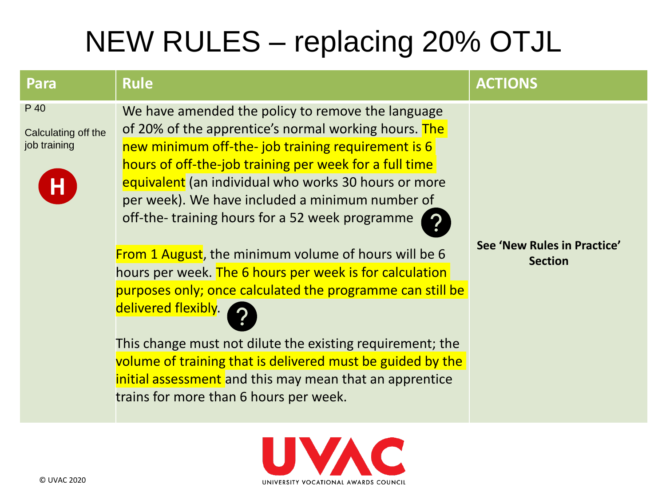## NEW RULES – replacing 20% OTJL

| Para                                             | <b>Rule</b>                                                                                                                                                                                                                                                                                                                                                                                                                                                                                                                                                                                                                                                                                                                                                                                                                   | <b>ACTIONS</b>                                |
|--------------------------------------------------|-------------------------------------------------------------------------------------------------------------------------------------------------------------------------------------------------------------------------------------------------------------------------------------------------------------------------------------------------------------------------------------------------------------------------------------------------------------------------------------------------------------------------------------------------------------------------------------------------------------------------------------------------------------------------------------------------------------------------------------------------------------------------------------------------------------------------------|-----------------------------------------------|
| P 40<br>Calculating off the<br>job training<br>Н | We have amended the policy to remove the language<br>of 20% of the apprentice's normal working hours. The<br>new minimum off-the- job training requirement is 6<br>hours of off-the-job training per week for a full time<br>equivalent (an individual who works 30 hours or more<br>per week). We have included a minimum number of<br>off-the-training hours for a 52 week programme<br>From 1 August, the minimum volume of hours will be 6<br>hours per week. The 6 hours per week is for calculation<br>purposes only; once calculated the programme can still be<br>delivered flexibly.<br>This change must not dilute the existing requirement; the<br>volume of training that is delivered must be guided by the<br>initial assessment and this may mean that an apprentice<br>trains for more than 6 hours per week. | See 'New Rules in Practice'<br><b>Section</b> |
|                                                  |                                                                                                                                                                                                                                                                                                                                                                                                                                                                                                                                                                                                                                                                                                                                                                                                                               |                                               |

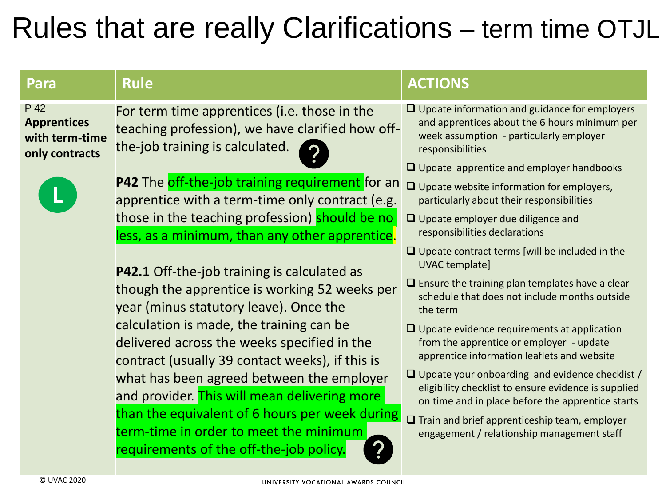### Rules that are really Clarifications – term time OTJL

| Para                                                           | <b>Rule</b>                                                                                                                                                                                                                                                                                                                                                                                                                                                                                                                                                                                                                                                                                                                                                                                                                                                                      | <b>ACTIONS</b>                                                                                                                                                                                                                                                                                                                                                                                                                                                                                                                                                                                                                                                                                                                                                                                                                                                                                                                                                                                                                               |
|----------------------------------------------------------------|----------------------------------------------------------------------------------------------------------------------------------------------------------------------------------------------------------------------------------------------------------------------------------------------------------------------------------------------------------------------------------------------------------------------------------------------------------------------------------------------------------------------------------------------------------------------------------------------------------------------------------------------------------------------------------------------------------------------------------------------------------------------------------------------------------------------------------------------------------------------------------|----------------------------------------------------------------------------------------------------------------------------------------------------------------------------------------------------------------------------------------------------------------------------------------------------------------------------------------------------------------------------------------------------------------------------------------------------------------------------------------------------------------------------------------------------------------------------------------------------------------------------------------------------------------------------------------------------------------------------------------------------------------------------------------------------------------------------------------------------------------------------------------------------------------------------------------------------------------------------------------------------------------------------------------------|
| P 42<br><b>Apprentices</b><br>with term-time<br>only contracts | For term time apprentices (i.e. those in the<br>teaching profession), we have clarified how off-<br>the-job training is calculated.<br>P42 The off-the-job training requirement for an<br>apprentice with a term-time only contract (e.g.<br>those in the teaching profession) should be no<br>less, as a minimum, than any other apprentice.<br><b>P42.1</b> Off-the-job training is calculated as<br>though the apprentice is working 52 weeks per<br>year (minus statutory leave). Once the<br>calculation is made, the training can be<br>delivered across the weeks specified in the<br>contract (usually 39 contact weeks), if this is<br>what has been agreed between the employer<br>and provider. This will mean delivering more<br>than the equivalent of 6 hours per week during<br>term-time in order to meet the minimum<br>requirements of the off-the-job policy. | $\Box$ Update information and guidance for employers<br>and apprentices about the 6 hours minimum per<br>week assumption - particularly employer<br>responsibilities<br>$\Box$ Update apprentice and employer handbooks<br>$\Box$ Update website information for employers,<br>particularly about their responsibilities<br>$\Box$ Update employer due diligence and<br>responsibilities declarations<br>$\Box$ Update contract terms [will be included in the<br><b>UVAC</b> template]<br>$\Box$ Ensure the training plan templates have a clear<br>schedule that does not include months outside<br>the term<br>$\Box$ Update evidence requirements at application<br>from the apprentice or employer - update<br>apprentice information leaflets and website<br>$\Box$ Update your onboarding and evidence checklist /<br>eligibility checklist to ensure evidence is supplied<br>on time and in place before the apprentice starts<br>$\Box$ Train and brief apprenticeship team, employer<br>engagement / relationship management staff |
| © UVAC 2020                                                    | UNIVERSITY VOCATIONAL AWARDS COUNCIL                                                                                                                                                                                                                                                                                                                                                                                                                                                                                                                                                                                                                                                                                                                                                                                                                                             |                                                                                                                                                                                                                                                                                                                                                                                                                                                                                                                                                                                                                                                                                                                                                                                                                                                                                                                                                                                                                                              |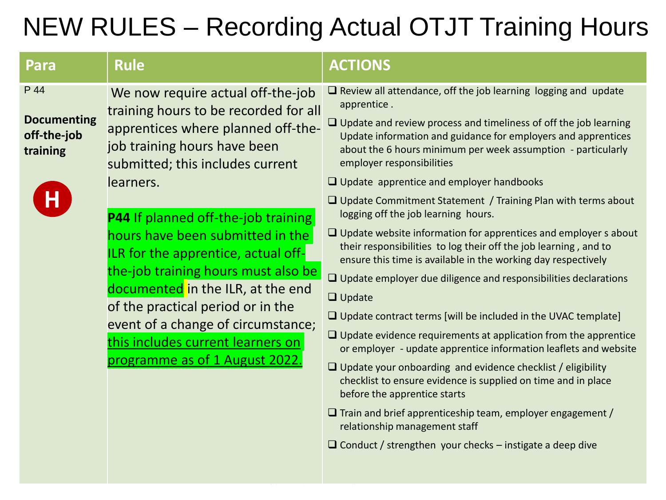#### NEW RULES – Recording Actual OTJT Training Hours

| Para                                                  | <b>Rule</b>                                                                                                                                                                                                                                                                                                                                         | <b>ACTIONS</b>                                                                                                                                                                                                                                                                                                                                                                                                                                                                                                                                                                                                                                                                                                                                                                                                                                                                                                                                                                             |
|-------------------------------------------------------|-----------------------------------------------------------------------------------------------------------------------------------------------------------------------------------------------------------------------------------------------------------------------------------------------------------------------------------------------------|--------------------------------------------------------------------------------------------------------------------------------------------------------------------------------------------------------------------------------------------------------------------------------------------------------------------------------------------------------------------------------------------------------------------------------------------------------------------------------------------------------------------------------------------------------------------------------------------------------------------------------------------------------------------------------------------------------------------------------------------------------------------------------------------------------------------------------------------------------------------------------------------------------------------------------------------------------------------------------------------|
| P 44<br><b>Documenting</b><br>off-the-job<br>training | We now require actual off-the-job<br>training hours to be recorded for all<br>apprentices where planned off-the-<br>job training hours have been<br>submitted; this includes current<br>learners.                                                                                                                                                   | $\Box$ Review all attendance, off the job learning logging and update<br>apprentice.<br>$\Box$ Update and review process and timeliness of off the job learning<br>Update information and guidance for employers and apprentices<br>about the 6 hours minimum per week assumption - particularly<br>employer responsibilities<br>$\Box$ Update apprentice and employer handbooks                                                                                                                                                                                                                                                                                                                                                                                                                                                                                                                                                                                                           |
|                                                       | <b>P44</b> If planned off-the-job training<br>hours have been submitted in the<br>ILR for the apprentice, actual off-<br>the-job training hours must also be<br>documented in the ILR, at the end<br>of the practical period or in the<br>event of a change of circumstance;<br>this includes current learners on<br>programme as of 1 August 2022. | $\Box$ Update Commitment Statement / Training Plan with terms about<br>logging off the job learning hours.<br>$\Box$ Update website information for apprentices and employer s about<br>their responsibilities to log their off the job learning, and to<br>ensure this time is available in the working day respectively<br>$\Box$ Update employer due diligence and responsibilities declarations<br>$\Box$ Update<br>$\Box$ Update contract terms [will be included in the UVAC template]<br>$\Box$ Update evidence requirements at application from the apprentice<br>or employer - update apprentice information leaflets and website<br>$\Box$ Update your onboarding and evidence checklist / eligibility<br>checklist to ensure evidence is supplied on time and in place<br>before the apprentice starts<br>$\Box$ Train and brief apprenticeship team, employer engagement /<br>relationship management staff<br>$\Box$ Conduct / strengthen your checks – instigate a deep dive |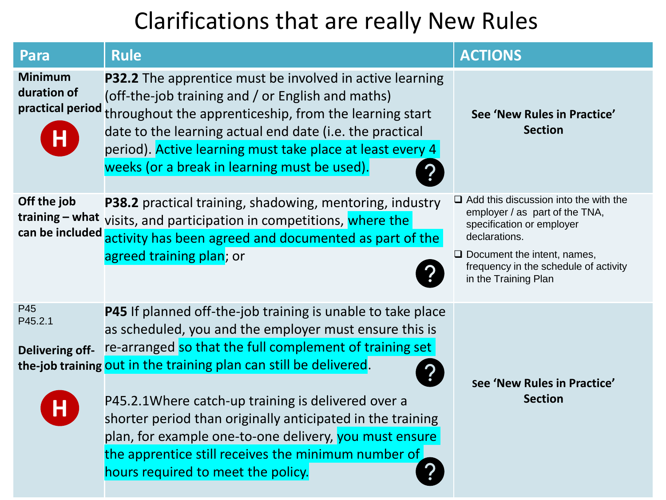#### Clarifications that are really New Rules

| Para                                                   | <b>Rule</b>                                                                                                                                                                                                                                                                                                                                                                                                                                                                                       | <b>ACTIONS</b>                                                                                                                                                                                                                      |
|--------------------------------------------------------|---------------------------------------------------------------------------------------------------------------------------------------------------------------------------------------------------------------------------------------------------------------------------------------------------------------------------------------------------------------------------------------------------------------------------------------------------------------------------------------------------|-------------------------------------------------------------------------------------------------------------------------------------------------------------------------------------------------------------------------------------|
| <b>Minimum</b><br>duration of<br>practical period<br>Н | <b>P32.2</b> The apprentice must be involved in active learning<br>(off-the-job training and / or English and maths)<br>throughout the apprenticeship, from the learning start<br>date to the learning actual end date (i.e. the practical<br>period). Active learning must take place at least every 4<br>weeks (or a break in learning must be used).                                                                                                                                           | See 'New Rules in Practice'<br><b>Section</b>                                                                                                                                                                                       |
| Off the job<br>can be included                         | P38.2 practical training, shadowing, mentoring, industry<br>training - what visits, and participation in competitions, where the<br>activity has been agreed and documented as part of the<br>agreed training plan; or                                                                                                                                                                                                                                                                            | $\Box$ Add this discussion into the with the<br>employer / as part of the TNA,<br>specification or employer<br>declarations.<br>$\Box$ Document the intent, names,<br>frequency in the schedule of activity<br>in the Training Plan |
| P45<br>P45.2.1<br>Delivering off-                      | <b>P45</b> If planned off-the-job training is unable to take place<br>as scheduled, you and the employer must ensure this is<br>re-arranged so that the full complement of training set<br>the-job training out in the training plan can still be delivered.<br>P45.2.1Where catch-up training is delivered over a<br>shorter period than originally anticipated in the training<br>plan, for example one-to-one delivery, you must ensure<br>the apprentice still receives the minimum number of | See 'New Rules in Practice'<br><b>Section</b>                                                                                                                                                                                       |

hours required to meet the policy.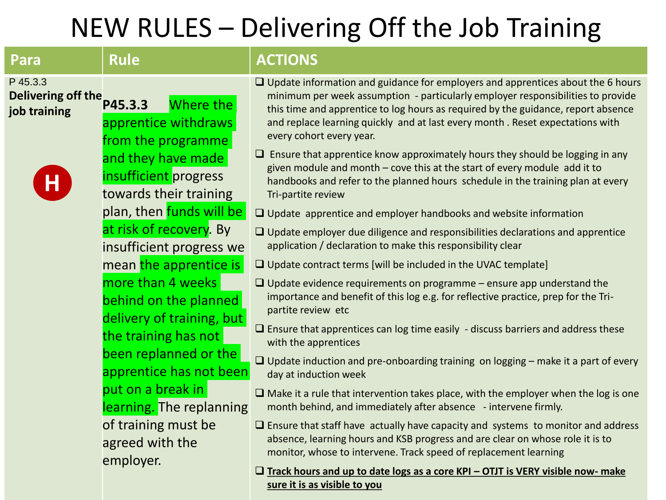### NEW RULES – Delivering Off the Job Training

| Para                                                      | <b>Rule</b>                                                             | <b>ACTIONS</b>                                                                                                                                                                                                                                                                                                                                                              |
|-----------------------------------------------------------|-------------------------------------------------------------------------|-----------------------------------------------------------------------------------------------------------------------------------------------------------------------------------------------------------------------------------------------------------------------------------------------------------------------------------------------------------------------------|
| P 45.3.3<br>Delivering off the<br>P45.3.3<br>job training | Where the<br>apprentice withdraws<br>from the programme                 | $\Box$ Update information and guidance for employers and apprentices about the 6 hours<br>minimum per week assumption - particularly employer responsibilities to provide<br>this time and apprentice to log hours as required by the guidance, report absence<br>and replace learning quickly and at last every month. Reset expectations with<br>every cohort every year. |
| Н                                                         | and they have made<br>insufficient progress<br>towards their training   | $\Box$ Ensure that apprentice know approximately hours they should be logging in any<br>given module and month - cove this at the start of every module add it to<br>handbooks and refer to the planned hours schedule in the training plan at every<br>Tri-partite review                                                                                                  |
|                                                           | plan, then <mark>funds will be</mark>                                   | $\Box$ Update apprentice and employer handbooks and website information                                                                                                                                                                                                                                                                                                     |
|                                                           | at risk of recovery. By<br>insufficient progress we                     | $\Box$ Update employer due diligence and responsibilities declarations and apprentice<br>application / declaration to make this responsibility clear                                                                                                                                                                                                                        |
|                                                           | mean the apprentice is                                                  | $\Box$ Update contract terms [will be included in the UVAC template]                                                                                                                                                                                                                                                                                                        |
|                                                           | more than 4 weeks<br>behind on the planned<br>delivery of training, but | $\Box$ Update evidence requirements on programme – ensure app understand the<br>importance and benefit of this log e.g. for reflective practice, prep for the Tri-<br>partite review etc                                                                                                                                                                                    |
|                                                           | the training has not                                                    | $\Box$ Ensure that apprentices can log time easily - discuss barriers and address these<br>with the apprentices                                                                                                                                                                                                                                                             |
|                                                           | been replanned or the<br>apprentice has not been                        | $\Box$ Update induction and pre-onboarding training on logging – make it a part of every<br>day at induction week                                                                                                                                                                                                                                                           |
|                                                           | put on a break in<br>learning. The replanning                           | $\Box$ Make it a rule that intervention takes place, with the employer when the log is one<br>month behind, and immediately after absence - intervene firmly.                                                                                                                                                                                                               |
|                                                           | of training must be<br>agreed with the<br>employer.                     | $\Box$ Ensure that staff have actually have capacity and systems to monitor and address<br>absence, learning hours and KSB progress and are clear on whose role it is to<br>monitor, whose to intervene. Track speed of replacement learning                                                                                                                                |
|                                                           |                                                                         | $\Box$ Track hours and up to date logs as a core KPI - OTJT is VERY visible now- make                                                                                                                                                                                                                                                                                       |

**sure it is as visible to you**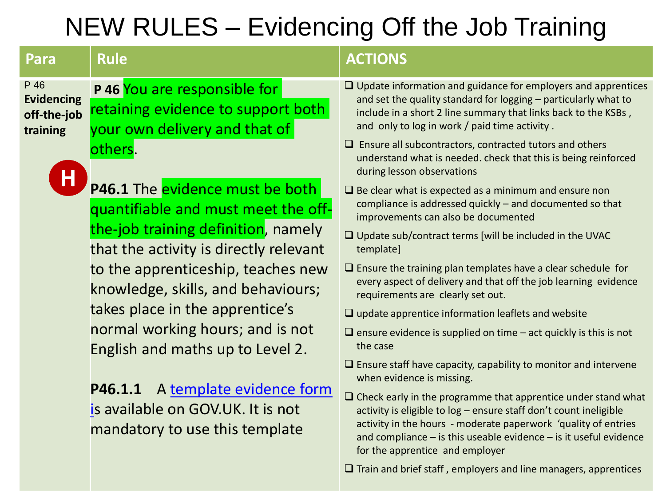#### NEW RULES – Evidencing Off the Job Training

| Para                                                      | <b>Rule</b>                                                                                                                                                                                                                                                                                                | <b>ACTIONS</b>                                                                                                                                                                                                                                                                                                                                                                                                                                                                                                                                                          |
|-----------------------------------------------------------|------------------------------------------------------------------------------------------------------------------------------------------------------------------------------------------------------------------------------------------------------------------------------------------------------------|-------------------------------------------------------------------------------------------------------------------------------------------------------------------------------------------------------------------------------------------------------------------------------------------------------------------------------------------------------------------------------------------------------------------------------------------------------------------------------------------------------------------------------------------------------------------------|
| P 46<br><b>Evidencing</b><br>off-the-job<br>training<br>Η | P 46 You are responsible for<br>retaining evidence to support both<br>your own delivery and that of<br>others.                                                                                                                                                                                             | $\Box$ Update information and guidance for employers and apprentices<br>and set the quality standard for logging - particularly what to<br>include in a short 2 line summary that links back to the KSBs,<br>and only to log in work / paid time activity.<br>$\Box$ Ensure all subcontractors, contracted tutors and others<br>understand what is needed. check that this is being reinforced<br>during lesson observations                                                                                                                                            |
|                                                           | P46.1 The evidence must be both<br>quantifiable and must meet the off-<br>the-job training definition, namely<br>that the activity is directly relevant<br>to the apprenticeship, teaches new<br>knowledge, skills, and behaviours;<br>takes place in the apprentice's<br>normal working hours; and is not | $\Box$ Be clear what is expected as a minimum and ensure non<br>compliance is addressed quickly - and documented so that<br>improvements can also be documented<br>$\Box$ Update sub/contract terms [will be included in the UVAC<br>template]<br>$\Box$ Ensure the training plan templates have a clear schedule for<br>every aspect of delivery and that off the job learning evidence<br>requirements are clearly set out.<br>$\Box$ update apprentice information leaflets and website<br>$\Box$ ensure evidence is supplied on time $-$ act quickly is this is not |
|                                                           | English and maths up to Level 2.<br>A template evidence form<br>P46.1.1<br>is available on GOV.UK. It is not<br>mandatory to use this template                                                                                                                                                             | the case<br>$\Box$ Ensure staff have capacity, capability to monitor and intervene<br>when evidence is missing.<br>$\Box$ Check early in the programme that apprentice under stand what<br>activity is eligible to log - ensure staff don't count ineligible<br>activity in the hours - moderate paperwork 'quality of entries<br>and compliance $-$ is this useable evidence $-$ is it useful evidence                                                                                                                                                                 |

❑ Train and brief staff , employers and line managers, apprentices

for the apprentice and employer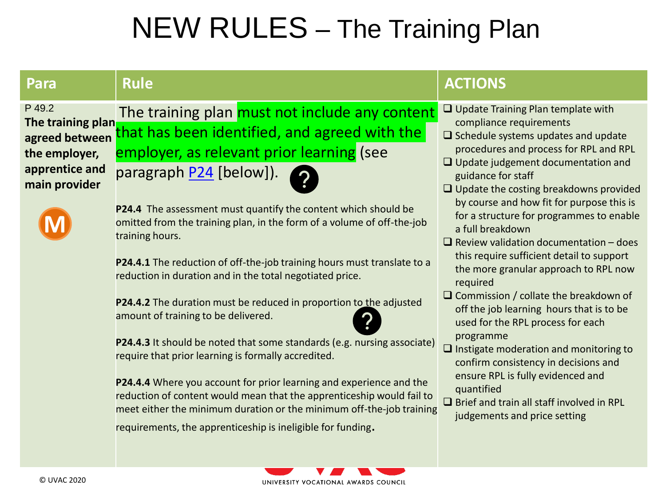### NEW RULES – The Training Plan

P 49.2 **The training plan agreed between the employer, apprentice and main provider**

The training plan must not include any content that has been identified, and agreed with the employer, as relevant prior learning (see

paragraph **P24** [below]).



**P24.4** The assessment must quantify the content which should be omitted from the training plan, in the form of a volume of off-the-job training hours.

**P24.4.1** The reduction of off-the-job training hours must translate to a reduction in duration and in the total negotiated price.

**P24.4.2** The duration must be reduced in proportion to the adjusted amount of training to be delivered.



**P24.4.3** It should be noted that some standards (e.g. nursing associate) require that prior learning is formally accredited.

**P24.4.4** Where you account for prior learning and experience and the reduction of content would mean that the apprenticeship would fail to meet either the minimum duration or the minimum off-the-job training

requirements, the apprenticeship is ineligible for funding.

#### Para Rule **Rule Actions**

- ❑ Update Training Plan template with compliance requirements
- ❑ Schedule systems updates and update procedures and process for RPL and RPL
- ❑ Update judgement documentation and guidance for staff
- ❑ Update the costing breakdowns provided by course and how fit for purpose this is for a structure for programmes to enable a full breakdown
- $\Box$  Review validation documentation does this require sufficient detail to support the more granular approach to RPL now required
- ❑ Commission / collate the breakdown of off the job learning hours that is to be used for the RPL process for each programme
- ❑ Instigate moderation and monitoring to confirm consistency in decisions and ensure RPL is fully evidenced and quantified
- ❑ Brief and train all staff involved in RPL judgements and price setting

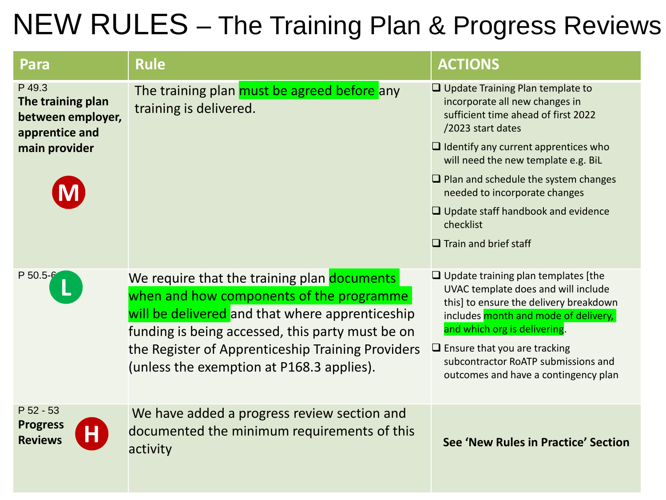### NEW RULES – The Training Plan & Progress Reviews

| Para                                                               | <b>Rule</b>                                                                                                                                                                                                                                                                                      | <b>ACTIONS</b>                                                                                                                                                                                                                                                                                                            |
|--------------------------------------------------------------------|--------------------------------------------------------------------------------------------------------------------------------------------------------------------------------------------------------------------------------------------------------------------------------------------------|---------------------------------------------------------------------------------------------------------------------------------------------------------------------------------------------------------------------------------------------------------------------------------------------------------------------------|
| P 49.3<br>The training plan<br>between employer,<br>apprentice and | The training plan must be agreed before any<br>training is delivered.                                                                                                                                                                                                                            | $\Box$ Update Training Plan template to<br>incorporate all new changes in<br>sufficient time ahead of first 2022<br>/2023 start dates                                                                                                                                                                                     |
| main provider                                                      |                                                                                                                                                                                                                                                                                                  | $\Box$ Identify any current apprentices who<br>will need the new template e.g. BiL                                                                                                                                                                                                                                        |
|                                                                    |                                                                                                                                                                                                                                                                                                  | $\Box$ Plan and schedule the system changes<br>needed to incorporate changes                                                                                                                                                                                                                                              |
|                                                                    |                                                                                                                                                                                                                                                                                                  | $\Box$ Update staff handbook and evidence<br>checklist                                                                                                                                                                                                                                                                    |
|                                                                    |                                                                                                                                                                                                                                                                                                  | $\Box$ Train and brief staff                                                                                                                                                                                                                                                                                              |
| $P 50.5-f$                                                         | We require that the training plan documents<br>when and how components of the programme<br>will be delivered and that where apprenticeship<br>funding is being accessed, this party must be on<br>the Register of Apprenticeship Training Providers<br>(unless the exemption at P168.3 applies). | $\Box$ Update training plan templates [the<br>UVAC template does and will include<br>this] to ensure the delivery breakdown<br>includes month and mode of delivery,<br>and which org is delivering.<br>$\Box$ Ensure that you are tracking<br>subcontractor RoATP submissions and<br>outcomes and have a contingency plan |
| $P 52 - 53$<br><b>Progress</b><br>Η<br><b>Reviews</b>              | We have added a progress review section and<br>documented the minimum requirements of this<br>activity                                                                                                                                                                                           | See 'New Rules in Practice' Section                                                                                                                                                                                                                                                                                       |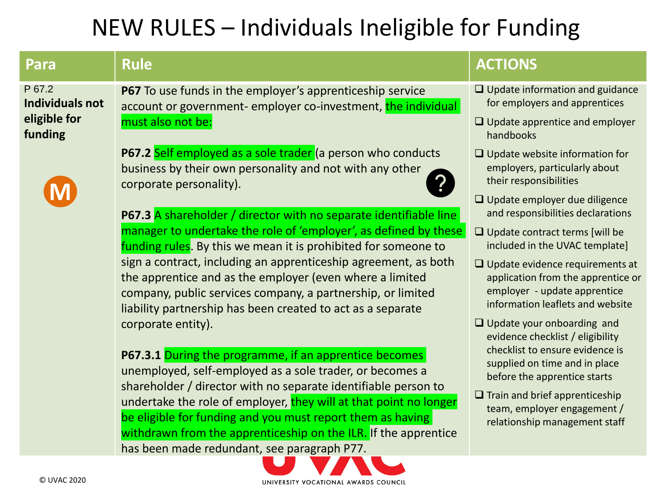#### NEW RULES – Individuals Ineligible for Funding

| Para                             | <b>Rule</b>                                                                                                                                                                                                                                               | <b>ACTIONS</b>                                                                                                                                   |
|----------------------------------|-----------------------------------------------------------------------------------------------------------------------------------------------------------------------------------------------------------------------------------------------------------|--------------------------------------------------------------------------------------------------------------------------------------------------|
| P 67.2<br><b>Individuals not</b> | P67 To use funds in the employer's apprenticeship service<br>account or government- employer co-investment, the individual                                                                                                                                | $\Box$ Update information and guidance<br>for employers and apprentices                                                                          |
| eligible for<br>funding          | must also not be:                                                                                                                                                                                                                                         | $\Box$ Update apprentice and employer<br>handbooks                                                                                               |
|                                  | P67.2 Self employed as a sole trader (a person who conducts<br>business by their own personality and not with any other<br>corporate personality).                                                                                                        | $\Box$ Update website information for<br>employers, particularly about<br>their responsibilities                                                 |
|                                  | P67.3 A shareholder / director with no separate identifiable line                                                                                                                                                                                         | □ Update employer due diligence<br>and responsibilities declarations                                                                             |
|                                  | manager to undertake the role of 'employer', as defined by these<br>funding rules. By this we mean it is prohibited for someone to                                                                                                                        | $\Box$ Update contract terms [will be<br>included in the UVAC template]                                                                          |
|                                  | sign a contract, including an apprenticeship agreement, as both<br>the apprentice and as the employer (even where a limited<br>company, public services company, a partnership, or limited<br>liability partnership has been created to act as a separate | $\Box$ Update evidence requirements at<br>application from the apprentice or<br>employer - update apprentice<br>information leaflets and website |
|                                  | corporate entity).                                                                                                                                                                                                                                        | $\Box$ Update your onboarding and<br>evidence checklist / eligibility                                                                            |
|                                  | P67.3.1 During the programme, if an apprentice becomes<br>unemployed, self-employed as a sole trader, or becomes a                                                                                                                                        | checklist to ensure evidence is<br>supplied on time and in place<br>before the apprentice starts                                                 |
|                                  | shareholder / director with no separate identifiable person to<br>undertake the role of employer, they will at that point no longer                                                                                                                       | $\Box$ Train and brief apprenticeship<br>team, employer engagement /                                                                             |
|                                  | be eligible for funding and you must report them as having<br>withdrawn from the apprenticeship on the ILR. If the apprentice<br>has been made redundant, see paragraph P77.                                                                              | relationship management staff                                                                                                                    |

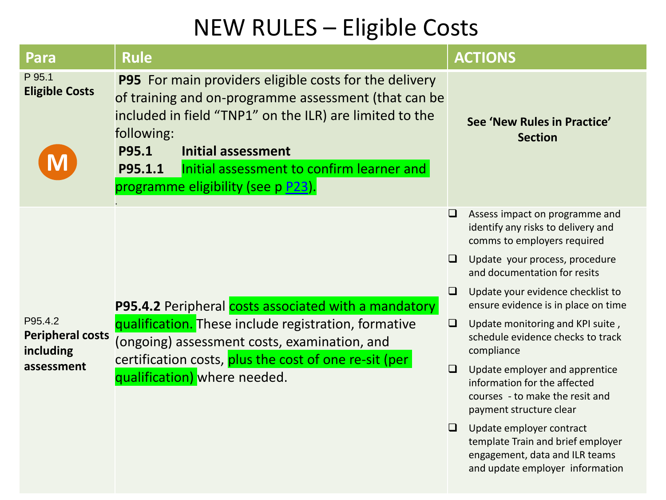#### NEW RULES – Eligible Costs

| Para                                            | <b>Rule</b>                                                                                                                                                                                                                                                                                                                 |                                               | <b>ACTIONS</b>                                                                                                               |
|-------------------------------------------------|-----------------------------------------------------------------------------------------------------------------------------------------------------------------------------------------------------------------------------------------------------------------------------------------------------------------------------|-----------------------------------------------|------------------------------------------------------------------------------------------------------------------------------|
| P 95.1<br><b>Eligible Costs</b>                 | <b>P95</b> For main providers eligible costs for the delivery<br>of training and on-programme assessment (that can be<br>included in field "TNP1" on the ILR) are limited to the<br>following:<br>P95.1<br>Initial assessment<br>Initial assessment to confirm learner and<br>P95.1.1<br>programme eligibility (see p P23). | See 'New Rules in Practice'<br><b>Section</b> |                                                                                                                              |
|                                                 |                                                                                                                                                                                                                                                                                                                             | ❏                                             | Assess impact on programme and<br>identify any risks to delivery and<br>comms to employers required                          |
|                                                 | <b>P95.4.2</b> Peripheral costs associated with a mandatory<br>qualification. These include registration, formative<br>(ongoing) assessment costs, examination, and<br>certification costs, plus the cost of one re-sit (per<br>qualification) where needed.                                                                | □                                             | Update your process, procedure<br>and documentation for resits                                                               |
|                                                 |                                                                                                                                                                                                                                                                                                                             | ❏                                             | Update your evidence checklist to<br>ensure evidence is in place on time                                                     |
| P95.4.2<br><b>Peripheral costs</b><br>including |                                                                                                                                                                                                                                                                                                                             | $\Box$                                        | Update monitoring and KPI suite,<br>schedule evidence checks to track<br>compliance                                          |
| assessment                                      |                                                                                                                                                                                                                                                                                                                             | $\Box$                                        | Update employer and apprentice<br>information for the affected<br>courses - to make the resit and<br>payment structure clear |
|                                                 |                                                                                                                                                                                                                                                                                                                             |                                               | Update employer contract                                                                                                     |

template Train and brief employer engagement, data and ILR teams and update employer information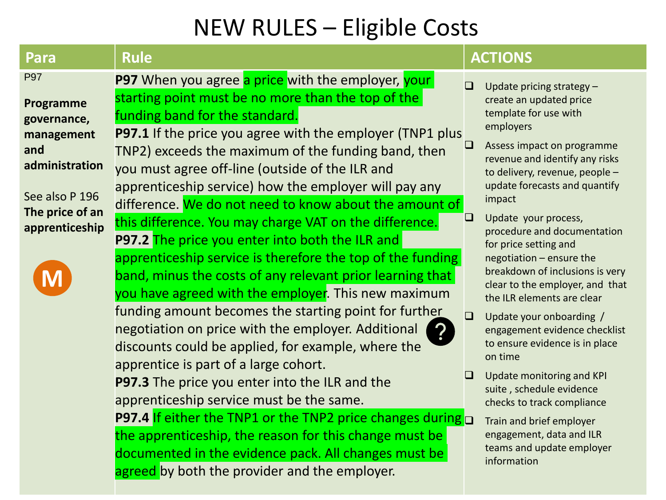#### NEW RULES – Eligible Costs

| Para                                               | <b>Rule</b>                                                                                                                                                                                                                                |        | <b>ACTIONS</b>                                                                                              |
|----------------------------------------------------|--------------------------------------------------------------------------------------------------------------------------------------------------------------------------------------------------------------------------------------------|--------|-------------------------------------------------------------------------------------------------------------|
| <b>P97</b><br>Programme                            | <b>P97</b> When you agree a price with the employer, your<br>starting point must be no more than the top of the                                                                                                                            |        | Update pricing strategy -<br>create an updated price<br>template for use with                               |
| governance,<br>management<br>and<br>administration | funding band for the standard.<br>P97.1 If the price you agree with the employer (TNP1 plus<br>TNP2) exceeds the maximum of the funding band, then<br>you must agree off-line (outside of the ILR and                                      |        | employers<br>Assess impact on programme<br>revenue and identify any risks<br>to delivery, revenue, people - |
| See also P 196<br>The price of an                  | apprenticeship service) how the employer will pay any<br>difference. We do not need to know about the amount of                                                                                                                            | ப      | update forecasts and quantify<br>impact<br>Update your process,                                             |
| apprenticeship                                     | this difference. You may charge VAT on the difference.<br>P97.2 The price you enter into both the ILR and<br>apprenticeship service is therefore the top of the funding                                                                    |        | procedure and documentation<br>for price setting and<br>negotiation - ensure the                            |
|                                                    | band, minus the costs of any relevant prior learning that<br>you have agreed with the employer. This new maximum<br>funding amount becomes the starting point for further                                                                  |        | breakdown of inclusions is very<br>clear to the employer, and that<br>the ILR elements are clear            |
|                                                    | negotiation on price with the employer. Additional<br>discounts could be applied, for example, where the                                                                                                                                   | $\Box$ | Update your onboarding /<br>engagement evidence checklist<br>to ensure evidence is in place<br>on time      |
|                                                    | apprentice is part of a large cohort.<br>P97.3 The price you enter into the ILR and the<br>apprenticeship service must be the same.                                                                                                        |        | Update monitoring and KPI<br>suite, schedule evidence<br>checks to track compliance                         |
|                                                    | <b>P97.4</b> If either the TNP1 or the TNP2 price changes during $\Box$<br>the apprenticeship, the reason for this change must be<br>documented in the evidence pack. All changes must be<br>agreed by both the provider and the employer. |        | Train and brief employer<br>engagement, data and ILR<br>teams and update employer<br>information            |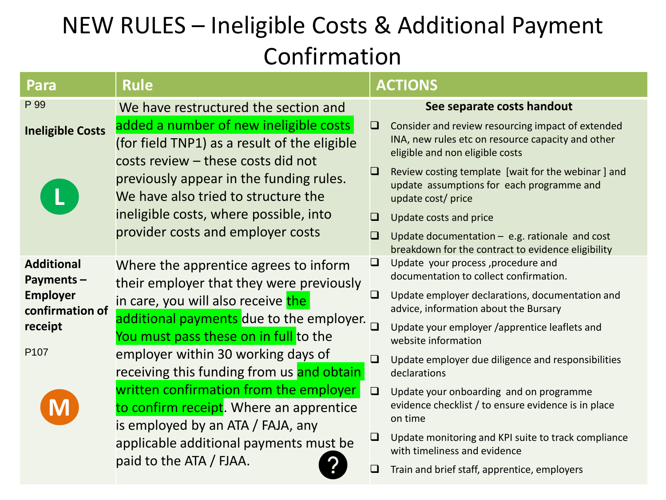#### NEW RULES – Ineligible Costs & Additional Payment Confirmation

| Para                               | <b>Rule</b>                                                                                                                  |        | <b>ACTIONS</b>                                                                                                                            |
|------------------------------------|------------------------------------------------------------------------------------------------------------------------------|--------|-------------------------------------------------------------------------------------------------------------------------------------------|
| P 99                               | We have restructured the section and                                                                                         |        | See separate costs handout                                                                                                                |
| <b>Ineligible Costs</b>            | added a number of new ineligible costs<br>(for field TNP1) as a result of the eligible<br>costs review - these costs did not | $\Box$ | Consider and review resourcing impact of extended<br>INA, new rules etc on resource capacity and other<br>eligible and non eligible costs |
|                                    | previously appear in the funding rules.<br>We have also tried to structure the                                               |        | Review costing template [wait for the webinar] and<br>update assumptions for each programme and<br>update cost/ price                     |
|                                    | ineligible costs, where possible, into                                                                                       |        | Update costs and price                                                                                                                    |
|                                    | provider costs and employer costs                                                                                            |        | Update documentation $-$ e.g. rationale and cost<br>breakdown for the contract to evidence eligibility                                    |
| <b>Additional</b><br>Payments-     | Where the apprentice agrees to inform<br>their employer that they were previously                                            | $\Box$ | Update your process, procedure and<br>documentation to collect confirmation.                                                              |
| <b>Employer</b><br>confirmation of | in care, you will also receive the                                                                                           | $\Box$ | Update employer declarations, documentation and<br>advice, information about the Bursary                                                  |
| receipt                            | additional payments due to the employer.<br>You must pass these on in full to the                                            | $\Box$ | Update your employer /apprentice leaflets and<br>website information                                                                      |
| P <sub>107</sub>                   | employer within 30 working days of<br>receiving this funding from us and obtain                                              | $\Box$ | Update employer due diligence and responsibilities<br>declarations                                                                        |
|                                    | written confirmation from the employer<br>to confirm receipt. Where an apprentice<br>is employed by an ATA / FAJA, any       | $\Box$ | Update your onboarding and on programme<br>evidence checklist / to ensure evidence is in place<br>on time                                 |
|                                    | applicable additional payments must be                                                                                       |        | Update monitoring and KPI suite to track compliance<br>with timeliness and evidence                                                       |
|                                    | paid to the ATA / FJAA.                                                                                                      | $\Box$ | Train and brief staff, apprentice, employers                                                                                              |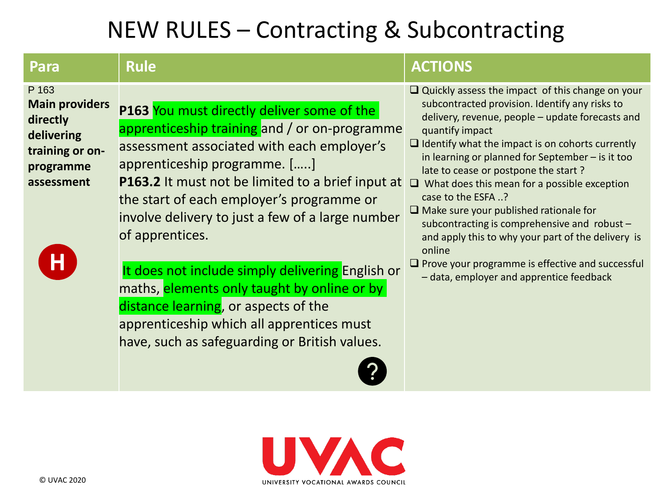#### NEW RULES – Contracting & Subcontracting

| Para                                                                                                   | <b>Rule</b>                                                                                                                                                                                                                                                                                                                                               | <b>ACTIONS</b>                                                                                                                                                                                                                                                                                                                                                                                                                                                                                                                                                                             |
|--------------------------------------------------------------------------------------------------------|-----------------------------------------------------------------------------------------------------------------------------------------------------------------------------------------------------------------------------------------------------------------------------------------------------------------------------------------------------------|--------------------------------------------------------------------------------------------------------------------------------------------------------------------------------------------------------------------------------------------------------------------------------------------------------------------------------------------------------------------------------------------------------------------------------------------------------------------------------------------------------------------------------------------------------------------------------------------|
| P 163<br><b>Main providers</b><br>directly<br>delivering<br>training or on-<br>programme<br>assessment | P163 You must directly deliver some of the<br>apprenticeship training and / or on-programme<br>assessment associated with each employer's<br>apprenticeship programme. []<br><b>P163.2</b> It must not be limited to a brief input at<br>the start of each employer's programme or<br>involve delivery to just a few of a large number<br>of apprentices. | $\Box$ Quickly assess the impact of this change on your<br>subcontracted provision. Identify any risks to<br>delivery, revenue, people - update forecasts and<br>quantify impact<br>$\Box$ Identify what the impact is on cohorts currently<br>in learning or planned for September $-$ is it too<br>late to cease or postpone the start?<br>$\Box$<br>What does this mean for a possible exception<br>case to the ESFA ?<br>$\Box$ Make sure your published rationale for<br>subcontracting is comprehensive and robust -<br>and apply this to why your part of the delivery is<br>online |
|                                                                                                        | It does not include simply delivering English or<br>maths, elements only taught by online or by<br>distance learning, or aspects of the<br>apprenticeship which all apprentices must<br>have, such as safeguarding or British values.                                                                                                                     | $\Box$ Prove your programme is effective and successful<br>- data, employer and apprentice feedback                                                                                                                                                                                                                                                                                                                                                                                                                                                                                        |

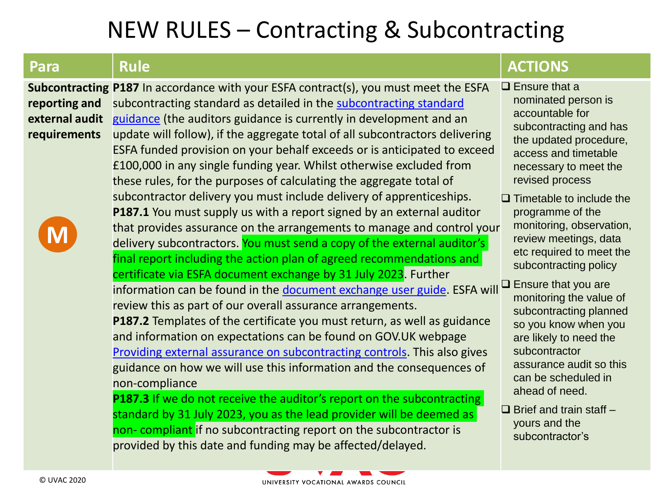#### NEW RULES – Contracting & Subcontracting

| Para                                            | <b>Rule</b>                                                                                                                                                                                                                                                                                                                                                                                                                                                                                                                                                                                                                                                                                                                                                                                                                                                                                                                                                                                                                                                                | <b>ACTIONS</b>                                                                                                                                                                                                                                                                                                                                                                                                                               |
|-------------------------------------------------|----------------------------------------------------------------------------------------------------------------------------------------------------------------------------------------------------------------------------------------------------------------------------------------------------------------------------------------------------------------------------------------------------------------------------------------------------------------------------------------------------------------------------------------------------------------------------------------------------------------------------------------------------------------------------------------------------------------------------------------------------------------------------------------------------------------------------------------------------------------------------------------------------------------------------------------------------------------------------------------------------------------------------------------------------------------------------|----------------------------------------------------------------------------------------------------------------------------------------------------------------------------------------------------------------------------------------------------------------------------------------------------------------------------------------------------------------------------------------------------------------------------------------------|
| reporting and<br>external audit<br>requirements | Subcontracting P187 In accordance with your ESFA contract(s), you must meet the ESFA<br>subcontracting standard as detailed in the subcontracting standard<br>guidance (the auditors guidance is currently in development and an<br>update will follow), if the aggregate total of all subcontractors delivering<br>ESFA funded provision on your behalf exceeds or is anticipated to exceed<br>£100,000 in any single funding year. Whilst otherwise excluded from<br>these rules, for the purposes of calculating the aggregate total of                                                                                                                                                                                                                                                                                                                                                                                                                                                                                                                                 | $\Box$ Ensure that a<br>nominated person is<br>accountable for<br>subcontracting and has<br>the updated procedure,<br>access and timetable<br>necessary to meet the<br>revised process                                                                                                                                                                                                                                                       |
|                                                 | subcontractor delivery you must include delivery of apprenticeships.<br>P187.1 You must supply us with a report signed by an external auditor<br>that provides assurance on the arrangements to manage and control your<br>delivery subcontractors. You must send a copy of the external auditor's<br>final report including the action plan of agreed recommendations and<br>certificate via ESFA document exchange by 31 July 2023. Further<br>information can be found in the document exchange user guide. ESFA will<br>review this as part of our overall assurance arrangements.<br><b>P187.2</b> Templates of the certificate you must return, as well as guidance<br>and information on expectations can be found on GOV.UK webpage<br>Providing external assurance on subcontracting controls. This also gives<br>guidance on how we will use this information and the consequences of<br>non-compliance<br><b>P187.3</b> If we do not receive the auditor's report on the subcontracting<br>standard by 31 July 2023, you as the lead provider will be deemed as | $\Box$ Timetable to include the<br>programme of the<br>monitoring, observation,<br>review meetings, data<br>etc required to meet the<br>subcontracting policy<br>$\Box$ Ensure that you are<br>monitoring the value of<br>subcontracting planned<br>so you know when you<br>are likely to need the<br>subcontractor<br>assurance audit so this<br>can be scheduled in<br>ahead of need.<br>$\Box$ Brief and train staff $-$<br>yours and the |
|                                                 | non-compliant if no subcontracting report on the subcontractor is<br>provided by this date and funding may be affected/delayed.                                                                                                                                                                                                                                                                                                                                                                                                                                                                                                                                                                                                                                                                                                                                                                                                                                                                                                                                            | subcontractor's                                                                                                                                                                                                                                                                                                                                                                                                                              |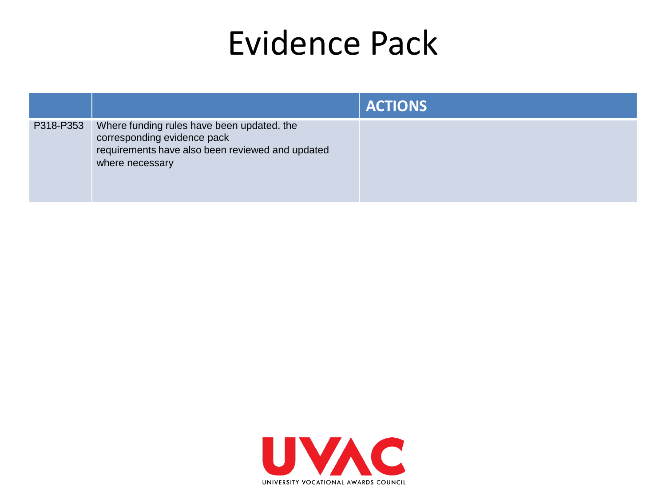## Evidence Pack

|           |                                                                                                                                                  | <b>ACTIONS</b> |
|-----------|--------------------------------------------------------------------------------------------------------------------------------------------------|----------------|
| P318-P353 | Where funding rules have been updated, the<br>corresponding evidence pack<br>requirements have also been reviewed and updated<br>where necessary |                |

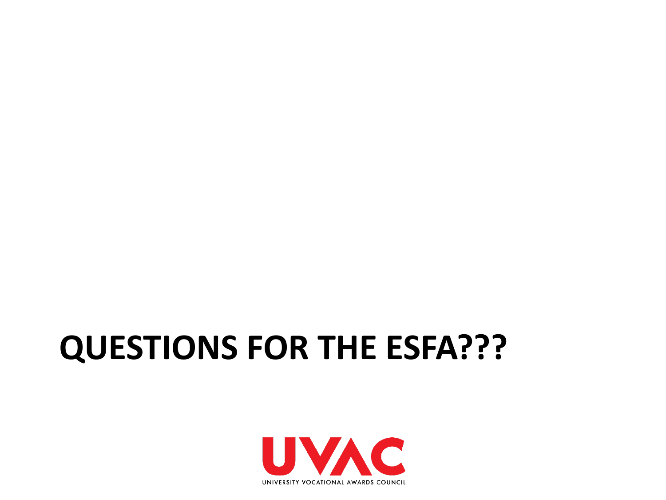# **QUESTIONS FOR THE ESFA???**

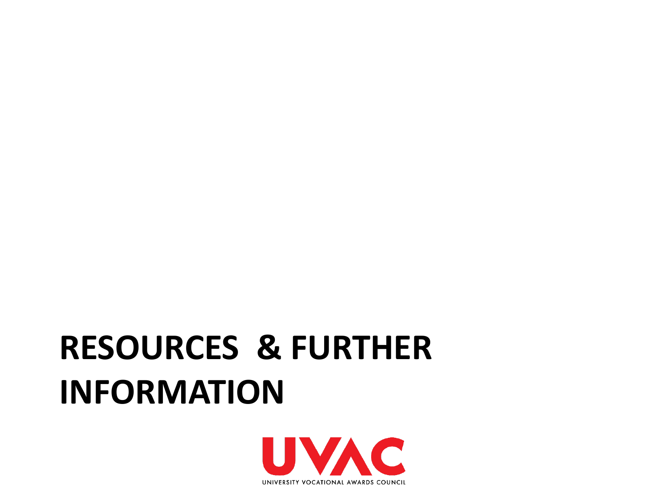# **RESOURCES & FURTHER INFORMATION**

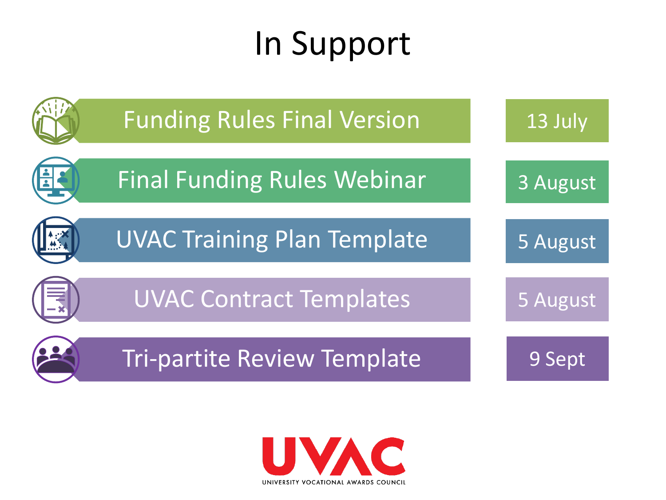# In Support

|                   | <b>Funding Rules Final Version</b> | 13 July  |
|-------------------|------------------------------------|----------|
| $\vert$ 2 $\vert$ | <b>Final Funding Rules Webinar</b> | 3 August |
|                   | <b>UVAC Training Plan Template</b> | 5 August |
|                   | <b>UVAC Contract Templates</b>     | 5 August |
|                   | <b>Tri-partite Review Template</b> | 9 Sept   |